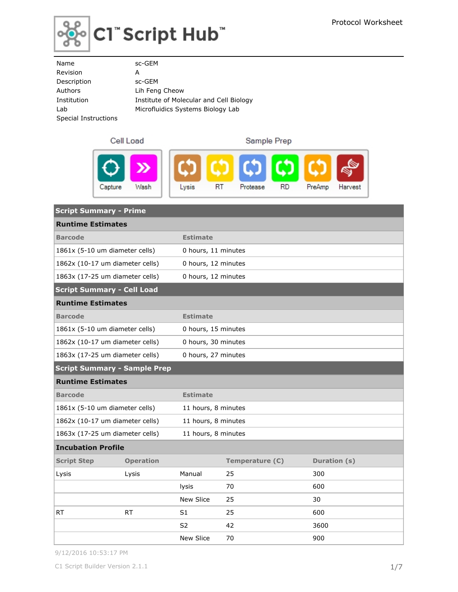

| Name                 | sc-GEM                                  |
|----------------------|-----------------------------------------|
| Revision             | А                                       |
| Description          | sc-GEM                                  |
| Authors              | Lih Feng Cheow                          |
| Institution          | Institute of Molecular and Cell Biology |
| Lab                  | Microfluidics Systems Biology Lab       |
| Special Instructions |                                         |
|                      |                                         |

### Cell Load

Sample Prep



| <b>Script Summary - Prime</b>       |                  |                     |                 |              |  |  |  |
|-------------------------------------|------------------|---------------------|-----------------|--------------|--|--|--|
| <b>Runtime Estimates</b>            |                  |                     |                 |              |  |  |  |
| <b>Barcode</b>                      |                  | <b>Estimate</b>     |                 |              |  |  |  |
| 1861x (5-10 um diameter cells)      |                  | 0 hours, 11 minutes |                 |              |  |  |  |
| 1862x (10-17 um diameter cells)     |                  | 0 hours, 12 minutes |                 |              |  |  |  |
| 1863x (17-25 um diameter cells)     |                  | 0 hours, 12 minutes |                 |              |  |  |  |
| <b>Script Summary - Cell Load</b>   |                  |                     |                 |              |  |  |  |
| <b>Runtime Estimates</b>            |                  |                     |                 |              |  |  |  |
| <b>Barcode</b>                      |                  | <b>Estimate</b>     |                 |              |  |  |  |
| 1861x (5-10 um diameter cells)      |                  | 0 hours, 15 minutes |                 |              |  |  |  |
| 1862x (10-17 um diameter cells)     |                  | 0 hours, 30 minutes |                 |              |  |  |  |
| 1863x (17-25 um diameter cells)     |                  | 0 hours, 27 minutes |                 |              |  |  |  |
| <b>Script Summary - Sample Prep</b> |                  |                     |                 |              |  |  |  |
| <b>Runtime Estimates</b>            |                  |                     |                 |              |  |  |  |
| <b>Barcode</b>                      |                  | <b>Estimate</b>     |                 |              |  |  |  |
| 1861x (5-10 um diameter cells)      |                  | 11 hours, 8 minutes |                 |              |  |  |  |
| 1862x (10-17 um diameter cells)     |                  | 11 hours, 8 minutes |                 |              |  |  |  |
| 1863x (17-25 um diameter cells)     |                  | 11 hours, 8 minutes |                 |              |  |  |  |
| <b>Incubation Profile</b>           |                  |                     |                 |              |  |  |  |
| <b>Script Step</b>                  | <b>Operation</b> |                     | Temperature (C) | Duration (s) |  |  |  |
| Lysis                               | Lysis            | Manual              | 25              | 300          |  |  |  |
|                                     |                  | <b>lysis</b>        | 70              | 600          |  |  |  |
|                                     |                  | New Slice           | 25              | 30           |  |  |  |
| RT.                                 | <b>RT</b>        | S <sub>1</sub>      | 25              | 600          |  |  |  |
|                                     |                  | S <sub>2</sub>      | 42              | 3600         |  |  |  |
|                                     |                  | <b>New Slice</b>    | 70              | 900          |  |  |  |

9/12/2016 10:53:17 PM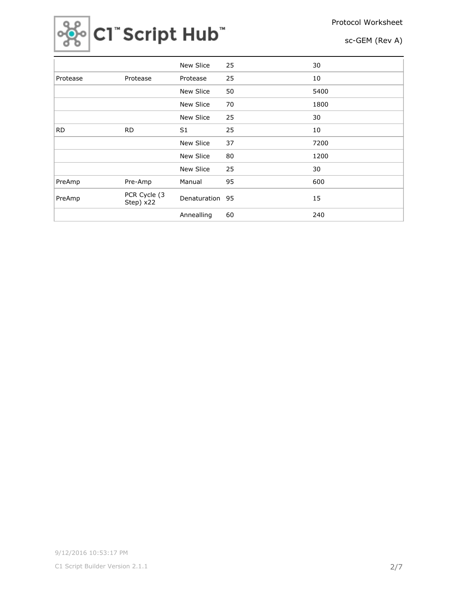



|           |                           | <b>New Slice</b> | 25 | 30   |
|-----------|---------------------------|------------------|----|------|
| Protease  | Protease                  | Protease         | 25 | 10   |
|           |                           | <b>New Slice</b> | 50 | 5400 |
|           |                           | <b>New Slice</b> | 70 | 1800 |
|           |                           | New Slice        | 25 | 30   |
| <b>RD</b> | <b>RD</b>                 | S <sub>1</sub>   | 25 | 10   |
|           |                           | <b>New Slice</b> | 37 | 7200 |
|           |                           | New Slice        | 80 | 1200 |
|           |                           | <b>New Slice</b> | 25 | 30   |
| PreAmp    | Pre-Amp                   | Manual           | 95 | 600  |
| PreAmp    | PCR Cycle (3<br>Step) x22 | Denaturation     | 95 | 15   |
|           |                           | Annealling       | 60 | 240  |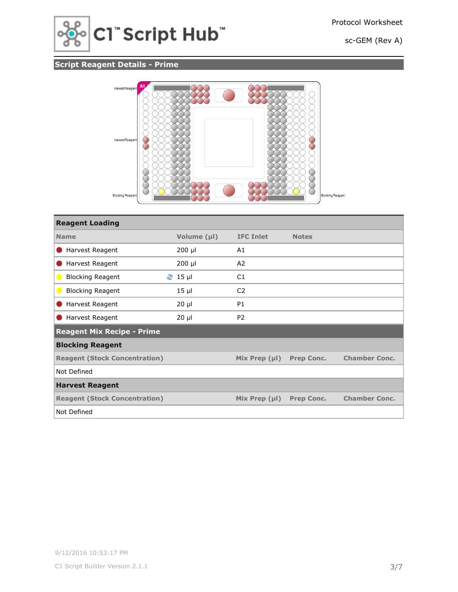

## **Script Reagent Details - Prime**



| <b>Reagent Loading</b>                    |             |                    |                   |                      |
|-------------------------------------------|-------------|--------------------|-------------------|----------------------|
| <b>Name</b>                               | Volume (µl) | <b>IFC Inlet</b>   | <b>Notes</b>      |                      |
| Harvest Reagent                           | $200$ µl    | A1                 |                   |                      |
| Harvest Reagent                           | $200$ µl    | A <sub>2</sub>     |                   |                      |
| <b>Blocking Reagent</b><br>$\blacksquare$ | $2$ 15 µ    | C1                 |                   |                      |
| <b>Blocking Reagent</b>                   | $15$ $\mu$  | C <sub>2</sub>     |                   |                      |
| Harvest Reagent                           | $20 \mu$    | <b>P1</b>          |                   |                      |
| Harvest Reagent                           | $20 \mu$    | P <sub>2</sub>     |                   |                      |
| <b>Reagent Mix Recipe - Prime</b>         |             |                    |                   |                      |
| <b>Blocking Reagent</b>                   |             |                    |                   |                      |
| <b>Reagent (Stock Concentration)</b>      |             | Mix Prep $(\mu I)$ | <b>Prep Conc.</b> | <b>Chamber Conc.</b> |
| Not Defined                               |             |                    |                   |                      |
| <b>Harvest Reagent</b>                    |             |                    |                   |                      |
| <b>Reagent (Stock Concentration)</b>      |             | Mix Prep $(\mu I)$ | <b>Prep Conc.</b> | <b>Chamber Conc.</b> |
| Not Defined                               |             |                    |                   |                      |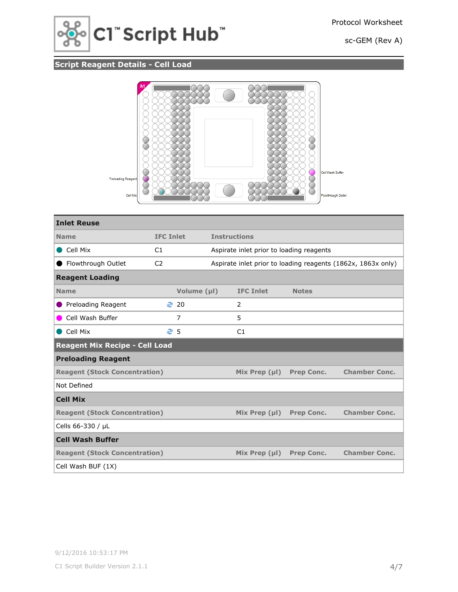

# **Script Reagent Details - Cell Load**



| <b>Inlet Reuse</b>                    |                  |             |                     |                                          |                   |                                                              |
|---------------------------------------|------------------|-------------|---------------------|------------------------------------------|-------------------|--------------------------------------------------------------|
| <b>Name</b>                           | <b>IFC Inlet</b> |             | <b>Instructions</b> |                                          |                   |                                                              |
| Cell Mix                              | C1               |             |                     | Aspirate inlet prior to loading reagents |                   |                                                              |
| Flowthrough Outlet                    | C <sub>2</sub>   |             |                     |                                          |                   | Aspirate inlet prior to loading reagents (1862x, 1863x only) |
| <b>Reagent Loading</b>                |                  |             |                     |                                          |                   |                                                              |
| <b>Name</b>                           |                  | Volume (µl) |                     | <b>IFC Inlet</b>                         | <b>Notes</b>      |                                                              |
| Preloading Reagent                    |                  | ₹ 20        |                     | 2                                        |                   |                                                              |
| Cell Wash Buffer                      |                  | 7           |                     | 5                                        |                   |                                                              |
| Cell Mix                              | ළ 5              |             |                     | C1                                       |                   |                                                              |
| <b>Reagent Mix Recipe - Cell Load</b> |                  |             |                     |                                          |                   |                                                              |
| <b>Preloading Reagent</b>             |                  |             |                     |                                          |                   |                                                              |
| <b>Reagent (Stock Concentration)</b>  |                  |             |                     | Mix Prep $(\mu I)$                       | <b>Prep Conc.</b> | <b>Chamber Conc.</b>                                         |
| Not Defined                           |                  |             |                     |                                          |                   |                                                              |
| <b>Cell Mix</b>                       |                  |             |                     |                                          |                   |                                                              |
| <b>Reagent (Stock Concentration)</b>  |                  |             |                     | Mix Prep $(\mu I)$                       | <b>Prep Conc.</b> | <b>Chamber Conc.</b>                                         |
| Cells 66-330 / µL                     |                  |             |                     |                                          |                   |                                                              |
| <b>Cell Wash Buffer</b>               |                  |             |                     |                                          |                   |                                                              |
| <b>Reagent (Stock Concentration)</b>  |                  |             |                     | Mix Prep $(\mu I)$                       | <b>Prep Conc.</b> | <b>Chamber Conc.</b>                                         |
| Cell Wash BUF (1X)                    |                  |             |                     |                                          |                   |                                                              |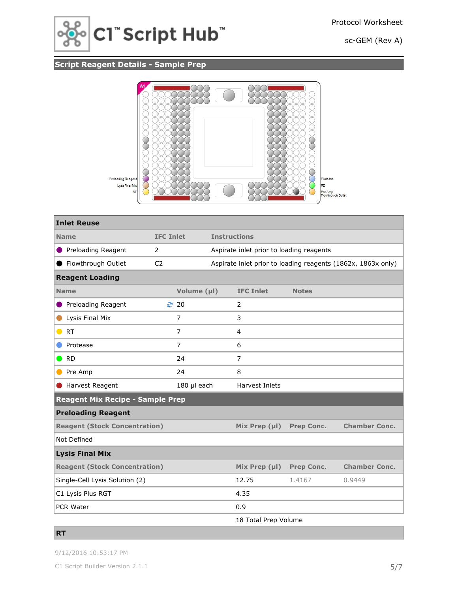

## **Script Reagent Details - Sample Prep**



| <b>Inlet Reuse</b>                      |                  |                |                                          |                   |                                                              |  |  |
|-----------------------------------------|------------------|----------------|------------------------------------------|-------------------|--------------------------------------------------------------|--|--|
| <b>Name</b>                             | <b>IFC Inlet</b> |                | <b>Instructions</b>                      |                   |                                                              |  |  |
| ● Preloading Reagent                    | 2                |                | Aspirate inlet prior to loading reagents |                   |                                                              |  |  |
| ● Flowthrough Outlet                    | C <sub>2</sub>   |                |                                          |                   | Aspirate inlet prior to loading reagents (1862x, 1863x only) |  |  |
| <b>Reagent Loading</b>                  |                  |                |                                          |                   |                                                              |  |  |
| <b>Name</b>                             |                  | Volume (µl)    | <b>IFC Inlet</b>                         | <b>Notes</b>      |                                                              |  |  |
| ● Preloading Reagent                    | ₹ 20             |                | $\overline{2}$                           |                   |                                                              |  |  |
| Lysis Final Mix                         |                  | 7              | 3                                        |                   |                                                              |  |  |
| $\bullet$ RT                            |                  | $\overline{7}$ | 4                                        |                   |                                                              |  |  |
| Protease                                |                  | $\overline{7}$ | 6                                        |                   |                                                              |  |  |
| $\bullet$ RD                            |                  | 24             | $\overline{7}$                           |                   |                                                              |  |  |
| Pre Amp<br>$\bullet$                    |                  | 24<br>8        |                                          |                   |                                                              |  |  |
| Harvest Reagent                         |                  | 180 µl each    | Harvest Inlets                           |                   |                                                              |  |  |
| <b>Reagent Mix Recipe - Sample Prep</b> |                  |                |                                          |                   |                                                              |  |  |
| <b>Preloading Reagent</b>               |                  |                |                                          |                   |                                                              |  |  |
| <b>Reagent (Stock Concentration)</b>    |                  |                | Mix Prep $(\mu I)$                       | <b>Prep Conc.</b> | <b>Chamber Conc.</b>                                         |  |  |
| Not Defined                             |                  |                |                                          |                   |                                                              |  |  |
| <b>Lysis Final Mix</b>                  |                  |                |                                          |                   |                                                              |  |  |
| <b>Reagent (Stock Concentration)</b>    |                  |                | Mix Prep $(\mu I)$                       | <b>Prep Conc.</b> | <b>Chamber Conc.</b>                                         |  |  |
| Single-Cell Lysis Solution (2)          |                  |                | 12.75                                    | 1.4167            | 0.9449                                                       |  |  |
| C1 Lysis Plus RGT                       |                  |                | 4.35                                     |                   |                                                              |  |  |
| PCR Water                               |                  |                | 0.9                                      |                   |                                                              |  |  |
|                                         |                  |                | 18 Total Prep Volume                     |                   |                                                              |  |  |

#### **RT**

9/12/2016 10:53:17 PM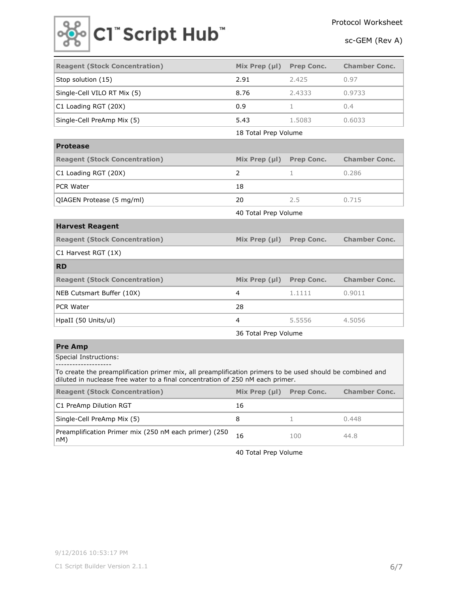

| <b>Reagent (Stock Concentration)</b>                                                                                                                                                        | Mix Prep $(\mu I)$   | <b>Prep Conc.</b> | <b>Chamber Conc.</b> |  |  |
|---------------------------------------------------------------------------------------------------------------------------------------------------------------------------------------------|----------------------|-------------------|----------------------|--|--|
| Stop solution (15)                                                                                                                                                                          | 2.91                 | 2.425             | 0.97                 |  |  |
| Single-Cell VILO RT Mix (5)                                                                                                                                                                 | 8.76                 | 2.4333            | 0.9733               |  |  |
| C1 Loading RGT (20X)                                                                                                                                                                        | 0.9                  | $\mathbf{1}$      | 0.4                  |  |  |
| Single-Cell PreAmp Mix (5)                                                                                                                                                                  | 5.43                 | 1.5083            | 0.6033               |  |  |
|                                                                                                                                                                                             | 18 Total Prep Volume |                   |                      |  |  |
| <b>Protease</b>                                                                                                                                                                             |                      |                   |                      |  |  |
| <b>Reagent (Stock Concentration)</b>                                                                                                                                                        | Mix Prep $(\mu I)$   | <b>Prep Conc.</b> | <b>Chamber Conc.</b> |  |  |
| C1 Loading RGT (20X)                                                                                                                                                                        | $\overline{2}$       | $\mathbf 1$       | 0.286                |  |  |
| <b>PCR Water</b>                                                                                                                                                                            | 18                   |                   |                      |  |  |
| QIAGEN Protease (5 mg/ml)                                                                                                                                                                   | 20                   | 2.5               | 0.715                |  |  |
|                                                                                                                                                                                             | 40 Total Prep Volume |                   |                      |  |  |
| <b>Harvest Reagent</b>                                                                                                                                                                      |                      |                   |                      |  |  |
| <b>Reagent (Stock Concentration)</b>                                                                                                                                                        | Mix Prep $(\mu I)$   | Prep Conc.        | <b>Chamber Conc.</b> |  |  |
| C1 Harvest RGT (1X)                                                                                                                                                                         |                      |                   |                      |  |  |
| <b>RD</b>                                                                                                                                                                                   |                      |                   |                      |  |  |
| <b>Reagent (Stock Concentration)</b>                                                                                                                                                        | Mix Prep $(\mu I)$   | <b>Prep Conc.</b> | <b>Chamber Conc.</b> |  |  |
| NEB Cutsmart Buffer (10X)                                                                                                                                                                   | 4                    | 1.1111            | 0.9011               |  |  |
| PCR Water                                                                                                                                                                                   | 28                   |                   |                      |  |  |
| HpaII (50 Units/ul)                                                                                                                                                                         | 4                    | 5.5556            | 4.5056               |  |  |
|                                                                                                                                                                                             | 36 Total Prep Volume |                   |                      |  |  |
| <b>Pre Amp</b>                                                                                                                                                                              |                      |                   |                      |  |  |
| Special Instructions:<br>--------------------                                                                                                                                               |                      |                   |                      |  |  |
| To create the preamplification primer mix, all preamplification primers to be used should be combined and<br>diluted in nuclease free water to a final concentration of 250 nM each primer. |                      |                   |                      |  |  |

| <b>Reagent (Stock Concentration)</b>                         | Mix Prep $(\mu I)$ | <b>Prep Conc.</b> | <b>Chamber Conc.</b> |
|--------------------------------------------------------------|--------------------|-------------------|----------------------|
| C1 PreAmp Dilution RGT                                       | 16                 |                   |                      |
| Single-Cell PreAmp Mix (5)                                   |                    |                   | 0.448                |
| Preamplification Primer mix (250 nM each primer) (250<br>nM) |                    | 100               | 44.8                 |

40 Total Prep Volume